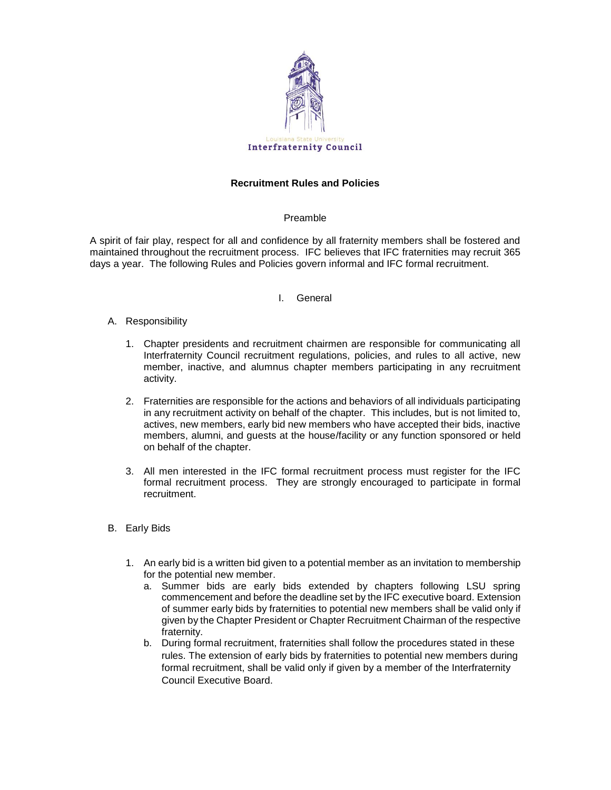

# **Recruitment Rules and Policies**

### Preamble

A spirit of fair play, respect for all and confidence by all fraternity members shall be fostered and maintained throughout the recruitment process. IFC believes that IFC fraternities may recruit 365 days a year. The following Rules and Policies govern informal and IFC formal recruitment.

### I. General

- A. Responsibility
	- 1. Chapter presidents and recruitment chairmen are responsible for communicating all Interfraternity Council recruitment regulations, policies, and rules to all active, new member, inactive, and alumnus chapter members participating in any recruitment activity.
	- 2. Fraternities are responsible for the actions and behaviors of all individuals participating in any recruitment activity on behalf of the chapter. This includes, but is not limited to, actives, new members, early bid new members who have accepted their bids, inactive members, alumni, and guests at the house/facility or any function sponsored or held on behalf of the chapter.
	- 3. All men interested in the IFC formal recruitment process must register for the IFC formal recruitment process. They are strongly encouraged to participate in formal recruitment.
- B. Early Bids
	- 1. An early bid is a written bid given to a potential member as an invitation to membership for the potential new member.
		- a. Summer bids are early bids extended by chapters following LSU spring commencement and before the deadline set by the IFC executive board. Extension of summer early bids by fraternities to potential new members shall be valid only if given by the Chapter President or Chapter Recruitment Chairman of the respective fraternity.
		- b. During formal recruitment, fraternities shall follow the procedures stated in these rules. The extension of early bids by fraternities to potential new members during formal recruitment, shall be valid only if given by a member of the Interfraternity Council Executive Board.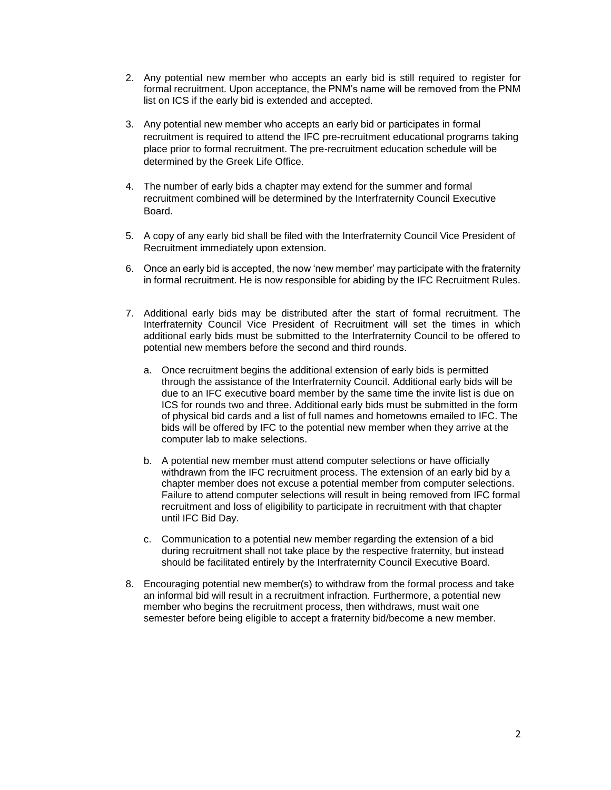- 2. Any potential new member who accepts an early bid is still required to register for formal recruitment. Upon acceptance, the PNM's name will be removed from the PNM list on ICS if the early bid is extended and accepted.
- 3. Any potential new member who accepts an early bid or participates in formal recruitment is required to attend the IFC pre-recruitment educational programs taking place prior to formal recruitment. The pre-recruitment education schedule will be determined by the Greek Life Office.
- 4. The number of early bids a chapter may extend for the summer and formal recruitment combined will be determined by the Interfraternity Council Executive Board.
- 5. A copy of any early bid shall be filed with the Interfraternity Council Vice President of Recruitment immediately upon extension.
- 6. Once an early bid is accepted, the now 'new member' may participate with the fraternity in formal recruitment. He is now responsible for abiding by the IFC Recruitment Rules.
- 7. Additional early bids may be distributed after the start of formal recruitment. The Interfraternity Council Vice President of Recruitment will set the times in which additional early bids must be submitted to the Interfraternity Council to be offered to potential new members before the second and third rounds.
	- a. Once recruitment begins the additional extension of early bids is permitted through the assistance of the Interfraternity Council. Additional early bids will be due to an IFC executive board member by the same time the invite list is due on ICS for rounds two and three. Additional early bids must be submitted in the form of physical bid cards and a list of full names and hometowns emailed to IFC. The bids will be offered by IFC to the potential new member when they arrive at the computer lab to make selections.
	- b. A potential new member must attend computer selections or have officially withdrawn from the IFC recruitment process. The extension of an early bid by a chapter member does not excuse a potential member from computer selections. Failure to attend computer selections will result in being removed from IFC formal recruitment and loss of eligibility to participate in recruitment with that chapter until IFC Bid Day.
	- c. Communication to a potential new member regarding the extension of a bid during recruitment shall not take place by the respective fraternity, but instead should be facilitated entirely by the Interfraternity Council Executive Board.
- 8. Encouraging potential new member(s) to withdraw from the formal process and take an informal bid will result in a recruitment infraction. Furthermore, a potential new member who begins the recruitment process, then withdraws, must wait one semester before being eligible to accept a fraternity bid/become a new member.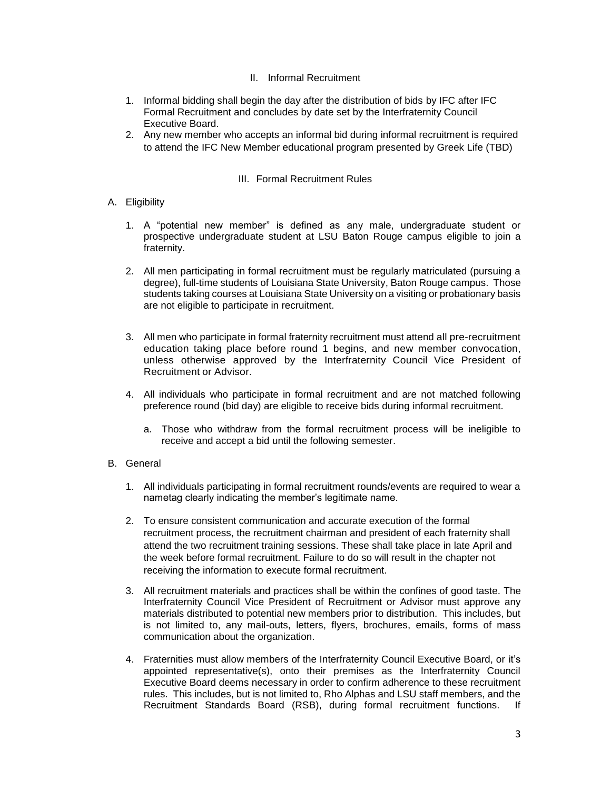# II. Informal Recruitment

- 1. Informal bidding shall begin the day after the distribution of bids by IFC after IFC Formal Recruitment and concludes by date set by the Interfraternity Council Executive Board.
- 2. Any new member who accepts an informal bid during informal recruitment is required to attend the IFC New Member educational program presented by Greek Life (TBD)

# III. Formal Recruitment Rules

- A. Eligibility
	- 1. A "potential new member" is defined as any male, undergraduate student or prospective undergraduate student at LSU Baton Rouge campus eligible to join a fraternity.
	- 2. All men participating in formal recruitment must be regularly matriculated (pursuing a degree), full-time students of Louisiana State University, Baton Rouge campus. Those students taking courses at Louisiana State University on a visiting or probationary basis are not eligible to participate in recruitment.
	- 3. All men who participate in formal fraternity recruitment must attend all pre-recruitment education taking place before round 1 begins, and new member convocation, unless otherwise approved by the Interfraternity Council Vice President of Recruitment or Advisor.
	- 4. All individuals who participate in formal recruitment and are not matched following preference round (bid day) are eligible to receive bids during informal recruitment.
		- a. Those who withdraw from the formal recruitment process will be ineligible to receive and accept a bid until the following semester.
- B. General
	- 1. All individuals participating in formal recruitment rounds/events are required to wear a nametag clearly indicating the member's legitimate name.
	- 2. To ensure consistent communication and accurate execution of the formal recruitment process, the recruitment chairman and president of each fraternity shall attend the two recruitment training sessions. These shall take place in late April and the week before formal recruitment. Failure to do so will result in the chapter not receiving the information to execute formal recruitment.
	- 3. All recruitment materials and practices shall be within the confines of good taste. The Interfraternity Council Vice President of Recruitment or Advisor must approve any materials distributed to potential new members prior to distribution. This includes, but is not limited to, any mail-outs, letters, flyers, brochures, emails, forms of mass communication about the organization.
	- 4. Fraternities must allow members of the Interfraternity Council Executive Board, or it's appointed representative(s), onto their premises as the Interfraternity Council Executive Board deems necessary in order to confirm adherence to these recruitment rules. This includes, but is not limited to, Rho Alphas and LSU staff members, and the Recruitment Standards Board (RSB), during formal recruitment functions. If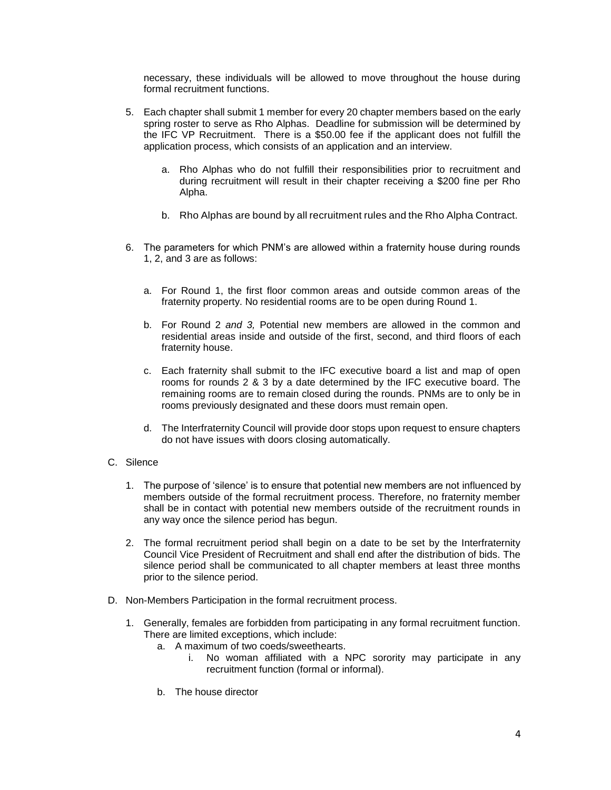necessary, these individuals will be allowed to move throughout the house during formal recruitment functions.

- 5. Each chapter shall submit 1 member for every 20 chapter members based on the early spring roster to serve as Rho Alphas. Deadline for submission will be determined by the IFC VP Recruitment. There is a \$50.00 fee if the applicant does not fulfill the application process, which consists of an application and an interview.
	- a. Rho Alphas who do not fulfill their responsibilities prior to recruitment and during recruitment will result in their chapter receiving a \$200 fine per Rho Alpha.
	- b. Rho Alphas are bound by all recruitment rules and the Rho Alpha Contract.
- 6. The parameters for which PNM's are allowed within a fraternity house during rounds 1, 2, and 3 are as follows:
	- a. For Round 1, the first floor common areas and outside common areas of the fraternity property. No residential rooms are to be open during Round 1.
	- b. For Round 2 *and 3,* Potential new members are allowed in the common and residential areas inside and outside of the first, second, and third floors of each fraternity house.
	- c. Each fraternity shall submit to the IFC executive board a list and map of open rooms for rounds 2 & 3 by a date determined by the IFC executive board. The remaining rooms are to remain closed during the rounds. PNMs are to only be in rooms previously designated and these doors must remain open.
	- d. The Interfraternity Council will provide door stops upon request to ensure chapters do not have issues with doors closing automatically.

# C. Silence

- 1. The purpose of 'silence' is to ensure that potential new members are not influenced by members outside of the formal recruitment process. Therefore, no fraternity member shall be in contact with potential new members outside of the recruitment rounds in any way once the silence period has begun.
- 2. The formal recruitment period shall begin on a date to be set by the Interfraternity Council Vice President of Recruitment and shall end after the distribution of bids. The silence period shall be communicated to all chapter members at least three months prior to the silence period.
- D. Non-Members Participation in the formal recruitment process.
	- 1. Generally, females are forbidden from participating in any formal recruitment function. There are limited exceptions, which include:
		- a. A maximum of two coeds/sweethearts.
			- i. No woman affiliated with a NPC sorority may participate in any recruitment function (formal or informal).
		- b. The house director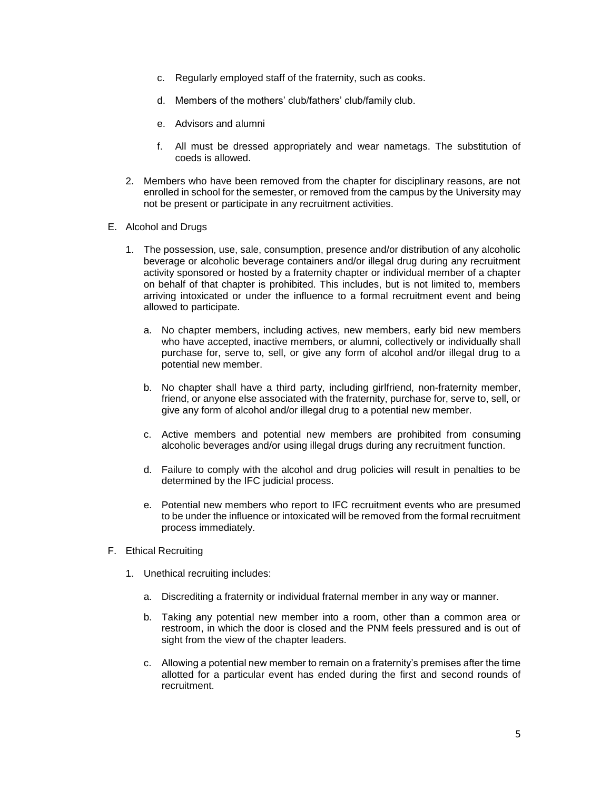- c. Regularly employed staff of the fraternity, such as cooks.
- d. Members of the mothers' club/fathers' club/family club.
- e. Advisors and alumni
- f. All must be dressed appropriately and wear nametags. The substitution of coeds is allowed.
- 2. Members who have been removed from the chapter for disciplinary reasons, are not enrolled in school for the semester, or removed from the campus by the University may not be present or participate in any recruitment activities.
- E. Alcohol and Drugs
	- 1. The possession, use, sale, consumption, presence and/or distribution of any alcoholic beverage or alcoholic beverage containers and/or illegal drug during any recruitment activity sponsored or hosted by a fraternity chapter or individual member of a chapter on behalf of that chapter is prohibited. This includes, but is not limited to, members arriving intoxicated or under the influence to a formal recruitment event and being allowed to participate.
		- a. No chapter members, including actives, new members, early bid new members who have accepted, inactive members, or alumni, collectively or individually shall purchase for, serve to, sell, or give any form of alcohol and/or illegal drug to a potential new member.
		- b. No chapter shall have a third party, including girlfriend, non-fraternity member, friend, or anyone else associated with the fraternity, purchase for, serve to, sell, or give any form of alcohol and/or illegal drug to a potential new member.
		- c. Active members and potential new members are prohibited from consuming alcoholic beverages and/or using illegal drugs during any recruitment function.
		- d. Failure to comply with the alcohol and drug policies will result in penalties to be determined by the IFC judicial process.
		- e. Potential new members who report to IFC recruitment events who are presumed to be under the influence or intoxicated will be removed from the formal recruitment process immediately.
- F. Ethical Recruiting
	- 1. Unethical recruiting includes:
		- a. Discrediting a fraternity or individual fraternal member in any way or manner.
		- b. Taking any potential new member into a room, other than a common area or restroom, in which the door is closed and the PNM feels pressured and is out of sight from the view of the chapter leaders.
		- c. Allowing a potential new member to remain on a fraternity's premises after the time allotted for a particular event has ended during the first and second rounds of recruitment.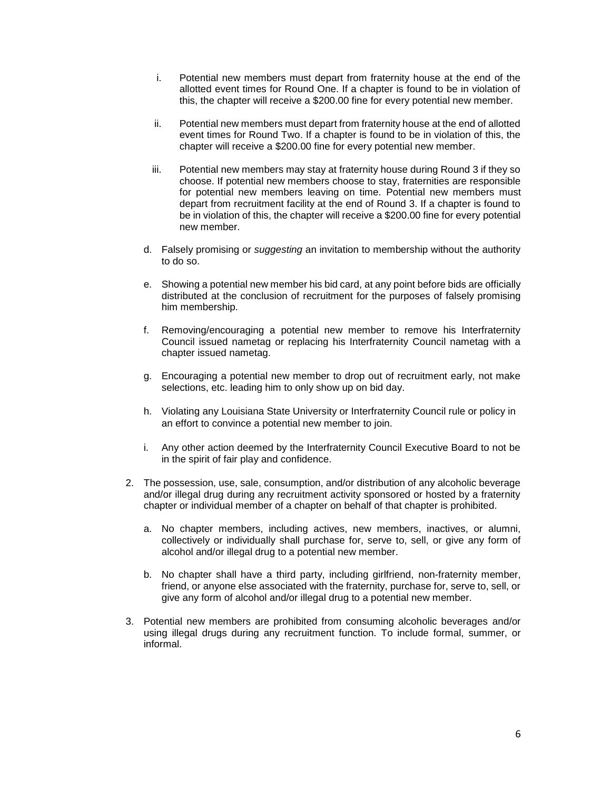- i. Potential new members must depart from fraternity house at the end of the allotted event times for Round One. If a chapter is found to be in violation of this, the chapter will receive a \$200.00 fine for every potential new member.
- ii. Potential new members must depart from fraternity house at the end of allotted event times for Round Two. If a chapter is found to be in violation of this, the chapter will receive a \$200.00 fine for every potential new member.
- iii. Potential new members may stay at fraternity house during Round 3 if they so choose. If potential new members choose to stay, fraternities are responsible for potential new members leaving on time. Potential new members must depart from recruitment facility at the end of Round 3. If a chapter is found to be in violation of this, the chapter will receive a \$200.00 fine for every potential new member.
- d. Falsely promising or *suggesting* an invitation to membership without the authority to do so.
- e. Showing a potential new member his bid card, at any point before bids are officially distributed at the conclusion of recruitment for the purposes of falsely promising him membership.
- f. Removing/encouraging a potential new member to remove his Interfraternity Council issued nametag or replacing his Interfraternity Council nametag with a chapter issued nametag.
- g. Encouraging a potential new member to drop out of recruitment early, not make selections, etc. leading him to only show up on bid day.
- h. Violating any Louisiana State University or Interfraternity Council rule or policy in an effort to convince a potential new member to join.
- i. Any other action deemed by the Interfraternity Council Executive Board to not be in the spirit of fair play and confidence.
- 2. The possession, use, sale, consumption, and/or distribution of any alcoholic beverage and/or illegal drug during any recruitment activity sponsored or hosted by a fraternity chapter or individual member of a chapter on behalf of that chapter is prohibited.
	- a. No chapter members, including actives, new members, inactives, or alumni, collectively or individually shall purchase for, serve to, sell, or give any form of alcohol and/or illegal drug to a potential new member.
	- b. No chapter shall have a third party, including girlfriend, non-fraternity member, friend, or anyone else associated with the fraternity, purchase for, serve to, sell, or give any form of alcohol and/or illegal drug to a potential new member.
- 3. Potential new members are prohibited from consuming alcoholic beverages and/or using illegal drugs during any recruitment function. To include formal, summer, or informal.